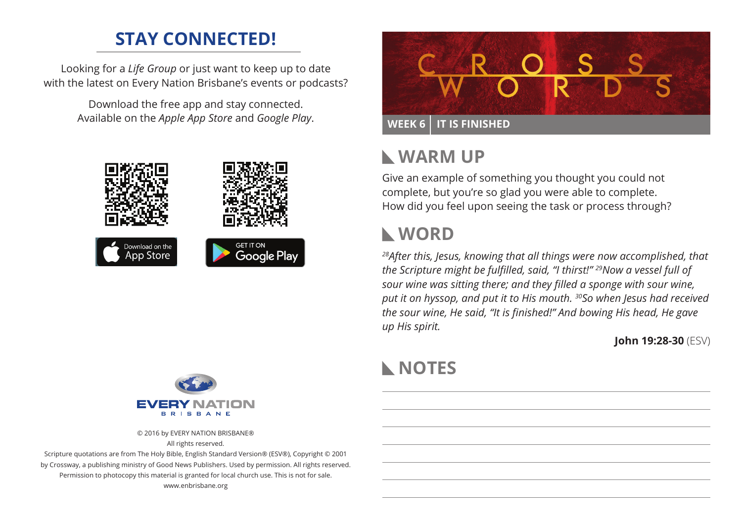### **STAY CONNECTED!**

Looking for a *Life Group* or just want to keep up to date with the latest on Every Nation Brisbane's events or podcasts?

> Download the free app and stay connected. Available on the *Apple App Store* and *Google Play*.





© 2016 by EVERY NATION BRISBANE® All rights reserved.

Scripture quotations are from The Holy Bible, English Standard Version® (ESV®), Copyright © 2001 by Crossway, a publishing ministry of Good News Publishers. Used by permission. All rights reserved. Permission to photocopy this material is granted for local church use. This is not for sale. www.enbrisbane.org



### **Warm Up**

Give an example of something you thought you could not complete, but you're so glad you were able to complete. How did you feel upon seeing the task or process through?

### **WORD**

*28After this, Jesus, knowing that all things were now accomplished, that the Scripture might be fulfilled, said, "I thirst!" 29Now a vessel full of sour wine was sitting there; and they filled a sponge with sour wine, put it on hyssop, and put it to His mouth. 30So when Jesus had received the sour wine, He said, "It is finished!" And bowing His head, He gave up His spirit.*

**John 19:28-30** (ESV)

## **NOTES**